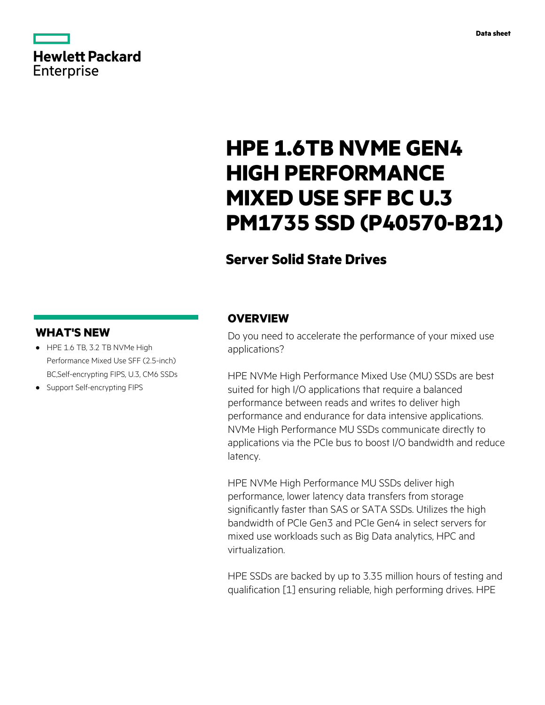# **Hewlett Packard** Enterprise

# **HPE 1.6TB NVME GEN4 HIGH PERFORMANCE MIXED USE SFF BC U.3 PM1735 SSD (P40570-B21)**

# **Server Solid State Drives**

### **WHAT'S NEW**

- **·** HPE 1.6 TB, 3.2 TB NVMe High Performance Mixed Use SFF (2.5-inch) BC,Self-encrypting FIPS, U.3, CM6 SSDs
- **·** Support Self-encrypting FIPS

### **OVERVIEW**

Do you need to accelerate the performance of your mixed use applications?

HPE NVMe High Performance Mixed Use (MU) SSDs are best suited for high I/O applications that require a balanced performance between reads and writes to deliver high performance and endurance for data intensive applications. NVMe High Performance MU SSDs communicate directly to applications via the PCIe bus to boost I/O bandwidth and reduce latency.

HPE NVMe High Performance MU SSDs deliver high performance, lower latency data transfers from storage significantly faster than SAS or SATA SSDs. Utilizes the high bandwidth of PCIe Gen3 and PCIe Gen4 in select servers for mixed use workloads such as Big Data analytics, HPC and virtualization.

HPE SSDs are backed by up to 3.35 million hours of testing and qualification [1] ensuring reliable, high performing drives. HPE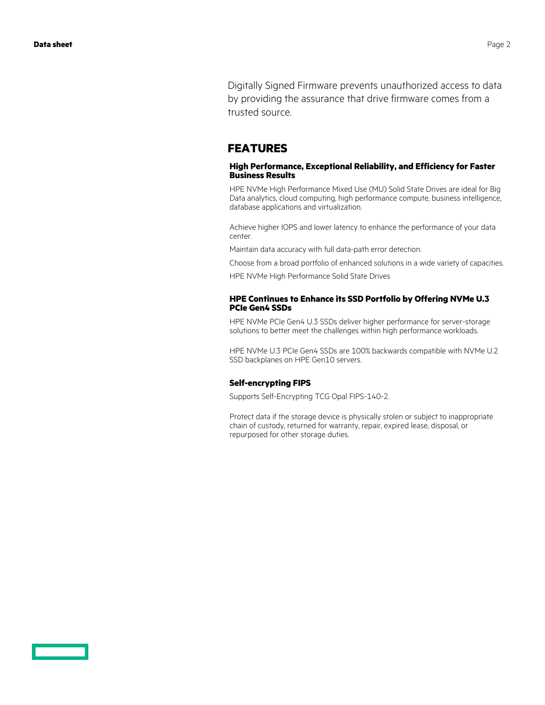Digitally Signed Firmware prevents unauthorized access to data by providing the assurance that drive firmware comes from a trusted source.

#### **FEATURES**

#### **High Performance, Exceptional Reliability, and Efficiency for Faster Business Results**

HPE NVMe High Performance Mixed Use (MU) Solid State Drives are ideal for Big Data analytics, cloud computing, high performance compute, business intelligence, database applications and virtualization.

Achieve higher IOPS and lower latency to enhance the performance of your data center.

Maintain data accuracy with full data-path error detection.

Choose from a broad portfolio of enhanced solutions in a wide variety of capacities.

HPE NVMe High Performance Solid State Drives

#### **HPE Continues to Enhance its SSD Portfolio by Offering NVMe U.3 PCIe Gen4 SSDs**

HPE NVMe PCIe Gen4 U.3 SSDs deliver higher performance for server-storage solutions to better meet the challenges within high performance workloads.

HPE NVMe U.3 PCIe Gen4 SSDs are 100% backwards compatible with NVMe U.2 SSD backplanes on HPE Gen10 servers.

#### **Self-encrypting FIPS**

Supports Self-Encrypting TCG Opal FIPS-140-2.

Protect data if the storage device is physically stolen or subject to inappropriate chain of custody, returned for warranty, repair, expired lease, disposal, or repurposed for other storage duties.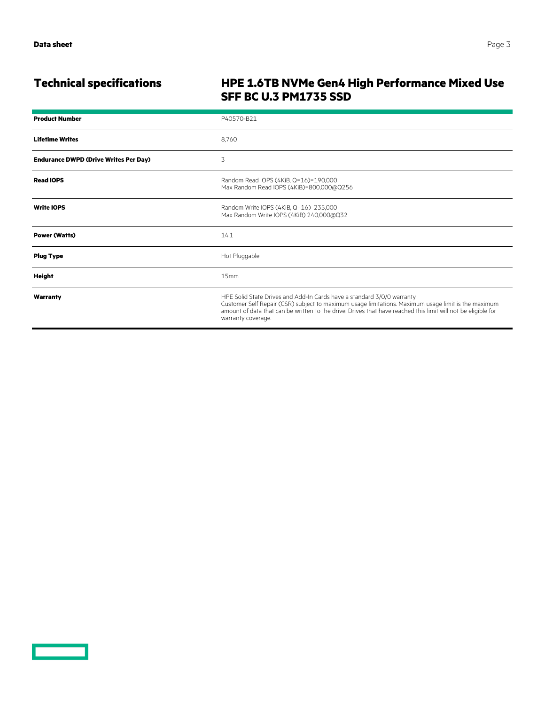<u>a sa sainte ann an Saonachd ann an S</u>

# **Technical specifications HPE 1.6TB NVMe Gen4 High Performance Mixed Use SFF BC U.3 PM1735 SSD**

| <b>Product Number</b>                        | P40570-B21                                                                                                                                                                                                                                                                                                           |
|----------------------------------------------|----------------------------------------------------------------------------------------------------------------------------------------------------------------------------------------------------------------------------------------------------------------------------------------------------------------------|
| <b>Lifetime Writes</b>                       | 8.760                                                                                                                                                                                                                                                                                                                |
| <b>Endurance DWPD (Drive Writes Per Day)</b> | 3                                                                                                                                                                                                                                                                                                                    |
| <b>Read IOPS</b>                             | Random Read IOPS (4KiB, Q=16)=190,000<br>Max Random Read IOPS (4KiB)=800,000@Q256                                                                                                                                                                                                                                    |
| <b>Write IOPS</b>                            | Random Write IOPS (4KiB, Q=16) 235,000<br>Max Random Write IOPS (4KiB) 240,000@Q32                                                                                                                                                                                                                                   |
| <b>Power (Watts)</b>                         | 14.1                                                                                                                                                                                                                                                                                                                 |
| <b>Plug Type</b>                             | Hot Pluggable                                                                                                                                                                                                                                                                                                        |
| <b>Height</b>                                | 15mm                                                                                                                                                                                                                                                                                                                 |
| Warranty                                     | HPE Solid State Drives and Add-In Cards have a standard 3/0/0 warranty<br>Customer Self Repair (CSR) subject to maximum usage limitations. Maximum usage limit is the maximum<br>amount of data that can be written to the drive. Drives that have reached this limit will not be eligible for<br>warranty coverage. |